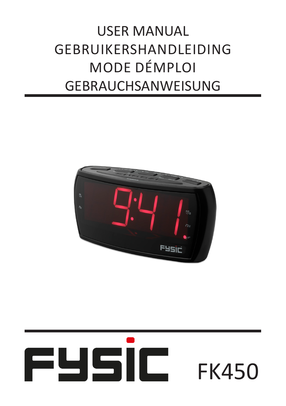## USER MANUAL GEBRUIKERSHANDLEIDING MODE DÉMPLOI GEBRAUCHSANWEISUNG



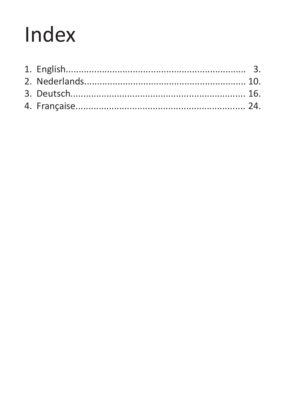# Index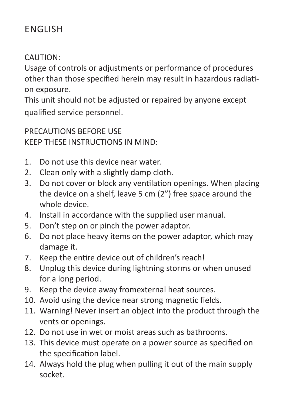## ENGLISH

#### CAUTION:

Usage of controls or adjustments or performance of procedures other than those specified herein may result in hazardous radiation exposure.

This unit should not be adjusted or repaired by anyone except qualified service personnel.

PRECAUTIONS BEFORE USE KEEP THESE INSTRUCTIONS IN MIND:

- Do not use this device near water. 1.
- Clean only with a slightly damp cloth. 2.
- Do not cover or block any ventilation openings. When placing the device on a shelf, leave 5 cm (2") free space around the whole device. 3.
- Install in accordance with the supplied user manual. 4.
- Don't step on or pinch the power adaptor. 5.
- Do not place heavy items on the power adaptor, which may damage it. 6.
- 7. Keep the entire device out of children's reach!
- Unplug this device during lightning storms or when unused for a long period. 8.
- 9. Keep the device away fromexternal heat sources.
- 10. Avoid using the device near strong magnetic fields.
- Warning! Never insert an object into the product through the 11. vents or openings.
- 12. Do not use in wet or moist areas such as bathrooms.
- 13. This device must operate on a power source as specified on the specification label.
- 14. Always hold the plug when pulling it out of the main supply socket.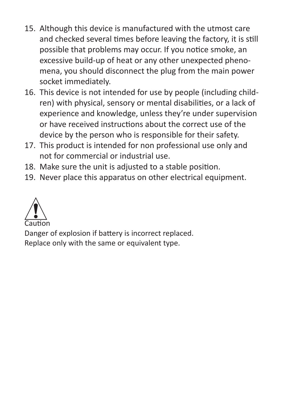- 15. Although this device is manufactured with the utmost care and checked several times before leaving the factory, it is still possible that problems may occur. If you notice smoke, an excessive build-up of heat or any other unexpected phenomena, you should disconnect the plug from the main power socket immediately.
- 16. This device is not intended for use by people (including children) with physical, sensory or mental disabilities, or a lack of experience and knowledge, unless they're under supervision or have received instructions about the correct use of the device by the person who is responsible for their safety.
- 17. This product is intended for non professional use only and not for commercial or industrial use.
- 18. Make sure the unit is adjusted to a stable position.
- 19. Never place this apparatus on other electrical equipment.



Danger of explosion if battery is incorrect replaced.

Replace only with the same or equivalent type.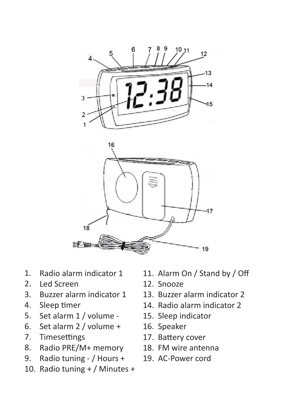

- 1. Radio alarm indicator 1
- 2. Led Screen
- 3. Buzzer alarm indicator 1
- 4. Sleep timer
- 5. Set alarm 1 / volume -
- 6. Set alarm 2 / volume +
- 7. Timesettings
- 8. Radio PRE/M+ memory
- 9. Radio tuning - / Hours +
- 10. Radio tuning + / Minutes +
- 11. Alarm On / Stand by / Off
- 12. Snooze
- 13. Buzzer alarm indicator 2
- 14. Radio alarm indicator 2
- 15. Sleep indicator
- 16. Speaker
- 17. Battery cover
- 18. FM wire antenna
- 19. AC-Power cord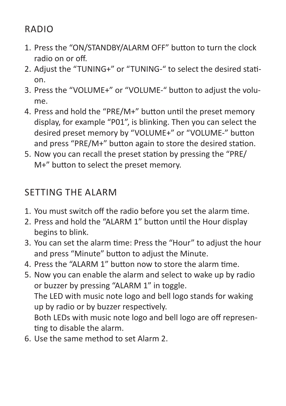RADIO

- 1. Press the "ON/STANDBY/ALARM OFF" button to turn the clock radio on or off.
- 2. Adjust the "TUNING+" or "TUNING-" to select the desired station.
- 3. Press the "VOLUME+" or "VOLUME-" button to adjust the volume.
- 4. Press and hold the "PRE/M+" button until the preset memory display, for example "P01", is blinking. Then you can select the desired preset memory by "VOLUME+" or "VOLUME-" button and press "PRE/M+" button again to store the desired station.
- 5. Now you can recall the preset station by pressing the "PRE/ M+" button to select the preset memory.

## SETTING THE ALARM

- 1. You must switch off the radio before you set the alarm time.
- 2. Press and hold the "ALARM 1" button until the Hour display begins to blink.
- 3. You can set the alarm time: Press the "Hour" to adjust the hour and press "Minute" button to adjust the Minute.
- 4. Press the "ALARM 1" button now to store the alarm time.
- 5. Now you can enable the alarm and select to wake up by radio or buzzer by pressing "ALARM 1" in toggle. The LED with music note logo and bell logo stands for waking up by radio or by buzzer respectively. Both LEDs with music note logo and bell logo are off representing to disable the alarm.
- Use the same method to set Alarm 2. 6.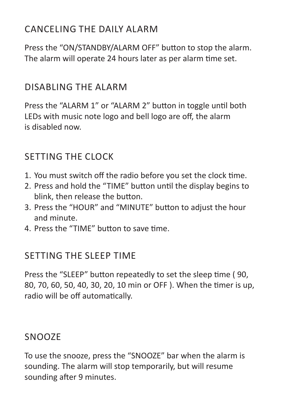## CANCELING THE DAILY ALARM

Press the "ON/STANDBY/ALARM OFF" button to stop the alarm. The alarm will operate 24 hours later as per alarm time set.

## DISABLING THE ALARM

Press the "ALARM 1" or "ALARM 2" button in toggle until both LEDs with music note logo and bell logo are off, the alarm is disabled now.

## SETTING THE CLOCK

- 1. You must switch off the radio before you set the clock time.
- 2. Press and hold the "TIME" button until the display begins to blink, then release the button.
- 3. Press the "HOUR" and "MINUTE" button to adjust the hour and minute.
- 4. Press the "TIME" button to save time.

## SETTING THE SLEEP TIME

Press the "SLEEP" button repeatedly to set the sleep time ( 90, 80, 70, 60, 50, 40, 30, 20, 10 min or OFF ). When the timer is up, radio will be off automatically.

## SNOOZE

To use the snooze, press the "SNOOZE" bar when the alarm is sounding. The alarm will stop temporarily, but will resume sounding after 9 minutes.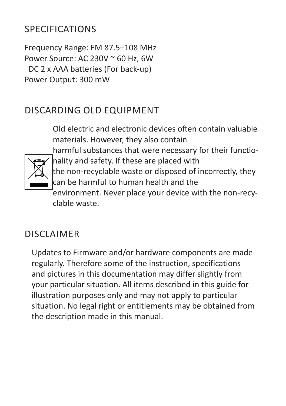## SPECIFICATIONS

Frequency Range: FM 87.5–108 MHz Power Source: AC 230V ~ 60 Hz, 6W DC 2 x AAA batteries (For back-up) Power Output: 300 mW

## DISCARDING OLD EQUIPMENT

Old electric and electronic devices often contain valuable materials. However, they also contain harmful substances that were necessary for their functionality and safety. If these are placed with the non-recyclable waste or disposed of incorrectly, they can be harmful to human health and the environment. Never place your device with the non-recyclable waste.

## DISCI AIMFR

Updates to Firmware and/or hardware components are made regularly. Therefore some of the instruction, specifications and pictures in this documentation may differ slightly from your particular situation. All items described in this guide for illustration purposes only and may not apply to particular situation. No legal right or entitlements may be obtained from the description made in this manual.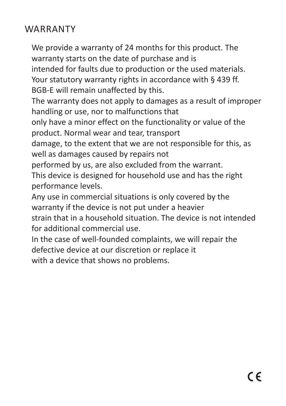## WARRANTY

We provide a warranty of 24 months for this product. The warranty starts on the date of purchase and is intended for faults due to production or the used materials. Your statutory warranty rights in accordance with § 439 ff. BGB-E will remain unaffected by this.

The warranty does not apply to damages as a result of improper handling or use, nor to malfunctions that

only have a minor effect on the functionality or value of the product. Normal wear and tear, transport

damage, to the extent that we are not responsible for this, as well as damages caused by repairs not

performed by us, are also excluded from the warrant.

This device is designed for household use and has the right performance levels.

Any use in commercial situations is only covered by the warranty if the device is not put under a heavier

strain that in a household situation. The device is not intended for additional commercial use.

In the case of well-founded complaints, we will repair the defective device at our discretion or replace it with a device that shows no problems.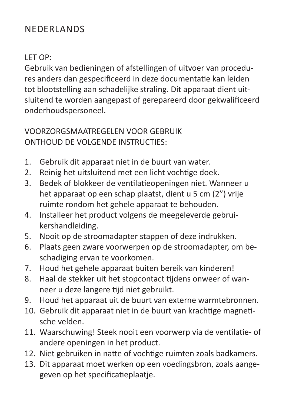## NEDERLANDS

#### LET OP:

Gebruik van bedieningen of afstellingen of uitvoer van procedures anders dan gespecificeerd in deze documentatie kan leiden tot blootstelling aan schadelijke straling. Dit apparaat dient uitsluitend te worden aangepast of gerepareerd door gekwalificeerd onderhoudspersoneel.

#### VOORZORGSMAATREGELEN VOOR GEBRUIK ONTHOUD DE VOLGENDE INSTRUCTIES:

- Gebruik dit apparaat niet in de buurt van water. 1.
- Reinig het uitsluitend met een licht vochtige doek. 2.
- Bedek of blokkeer de ventilatieopeningen niet. Wanneer u het apparaat op een schap plaatst, dient u 5 cm (2") vrije ruimte rondom het gehele apparaat te behouden. 3.
- Installeer het product volgens de meegeleverde gebruikershandleiding. 4.
- Nooit op de stroomadapter stappen of deze indrukken. 5.
- Plaats geen zware voorwerpen op de stroomadapter, om beschadiging ervan te voorkomen. 6.
- Houd het gehele apparaat buiten bereik van kinderen! 7.
- Haal de stekker uit het stopcontact tijdens onweer of wanneer u deze langere tijd niet gebruikt. 8.
- Houd het apparaat uit de buurt van externe warmtebronnen. 9.
- 10. Gebruik dit apparaat niet in de buurt van krachtige magnetische velden.
- Waarschuwing! Steek nooit een voorwerp via de ventilatie- of 11. andere openingen in het product.
- 12. Niet gebruiken in natte of vochtige ruimten zoals badkamers.
- 13. Dit apparaat moet werken op een voedingsbron, zoals aangegeven op het specificatieplaatje.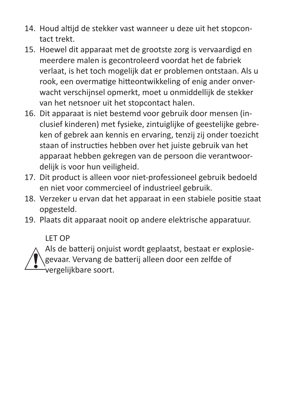- 14. Houd altijd de stekker vast wanneer u deze uit het stopcontact trekt.
- 15. Hoewel dit apparaat met de grootste zorg is vervaardigd en meerdere malen is gecontroleerd voordat het de fabriek verlaat, is het toch mogelijk dat er problemen ontstaan. Als u rook, een overmatige hitteontwikkeling of enig ander onverwacht verschijnsel opmerkt, moet u onmiddellijk de stekker van het netsnoer uit het stopcontact halen.
- 16. Dit apparaat is niet bestemd voor gebruik door mensen (inclusief kinderen) met fysieke, zintuiglijke of geestelijke gebreken of gebrek aan kennis en ervaring, tenzij zij onder toezicht staan of instructies hebben over het juiste gebruik van het apparaat hebben gekregen van de persoon die verantwoordelijk is voor hun veiligheid.
- 17. Dit product is alleen voor niet-professioneel gebruik bedoeld en niet voor commercieel of industrieel gebruik.
- 18. Verzeker u ervan dat het apparaat in een stabiele positie staat opgesteld.
- 19. Plaats dit apparaat nooit op andere elektrische apparatuur.

LET OP

Als de batterij onjuist wordt geplaatst, bestaat er explosiegevaar. Vervang de batterij alleen door een zelfde of vergelijkbare soort.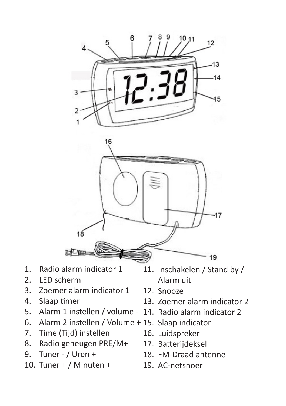



- 1. Radio alarm indicator 1
- 2. LED scherm
- 3. Zoemer alarm indicator 1
- 4. Slaap timer
- 5.
- 6. Alarm 2 instellen / Volume + 15. Slaap indicator
- 7. Time (Tijd) instellen
- 8. Radio geheugen PRE/M+
- 9. Tuner - / Uren +
- 10. Tuner + / Minuten +
- 11. Inschakelen / Stand by / Alarm uit
- 12. Snooze
- 13. Zoemer alarm indicator 2
- Alarm 1 instellen / volume 14. Radio alarm indicator 2
	-
	- 16. Luidspreker
	- 17. Batterijdeksel
	- 18. FM-Draad antenne
	- 19. AC-netsnoer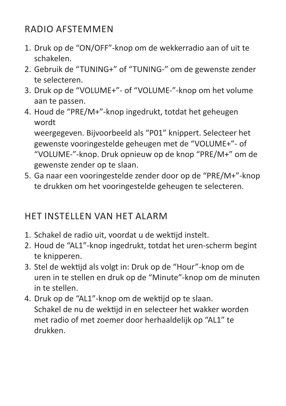## RADIO AFSTEMMEN

- 1. Druk op de "ON/OFF"-knop om de wekkerradio aan of uit te schakelen.
- Gebruik de "TUNING+" of "TUNING-" om de gewenste zender 2. te selecteren.
- 3. Druk op de "VOLUME+"- of "VOLUME-"-knop om het volume aan te passen.
- 4. Houd de "PRE/M+"-knop ingedrukt, totdat het geheugen wordt

weergegeven. Bijvoorbeeld als "P01" knippert. Selecteer het gewenste vooringestelde geheugen met de "VOLUME+"- of "VOLUME-"-knop. Druk opnieuw op de knop "PRE/M+" om de gewenste zender op te slaan.

Ga naar een vooringestelde zender door op de "PRE/M+"-knop 5. te drukken om het vooringestelde geheugen te selecteren.

## HET INSTELLEN VAN HET ALARM

- 1. Schakel de radio uit, voordat u de wektijd instelt.
- 2. Houd de "AL1"-knop ingedrukt, totdat het uren-scherm begint te knipperen.
- Stel de wektijd als volgt in: Druk op de "Hour"-knop om de 3. uren in te stellen en druk op de "Minute"-knop om de minuten in te stellen.
- 4. Druk op de "AL1"-knop om de wektijd op te slaan. Schakel de nu de wektijd in en selecteer het wakker worden met radio of met zoemer door herhaaldelijk op "AL1" te drukken.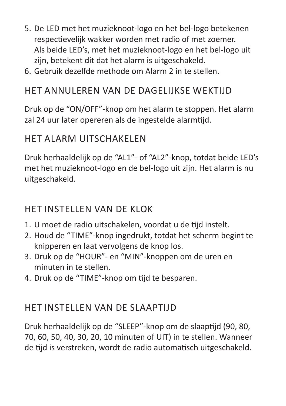- 5. De LED met het muzieknoot-logo en het bel-logo betekenen respectievelijk wakker worden met radio of met zoemer. Als beide LED's, met het muzieknoot-logo en het bel-logo uit zijn, betekent dit dat het alarm is uitgeschakeld.
- 6. Gebruik dezelfde methode om Alarm 2 in te stellen.

## HET ANNULEREN VAN DE DAGELIJKSE WEKTIJD

Druk op de "ON/OFF"-knop om het alarm te stoppen. Het alarm zal 24 uur later opereren als de ingestelde alarmtijd.

#### HET ALARM UITSCHAKELEN

Druk herhaaldelijk op de "AL1"- of "AL2"-knop, totdat beide LED's met het muzieknoot-logo en de bel-logo uit zijn. Het alarm is nu uitgeschakeld.

#### HET INSTELLEN VAN DE KLOK

- U moet de radio uitschakelen, voordat u de tijd instelt. 1.
- 2. Houd de "TIME"-knop ingedrukt, totdat het scherm begint te knipperen en laat vervolgens de knop los.
- 3. Druk op de "HOUR"- en "MIN"-knoppen om de uren en minuten in te stellen.
- 4. Druk op de "TIME"-knop om tijd te besparen.

## HET INSTELLEN VAN DE SLAAPTIJD

Druk herhaaldelijk op de "SLEEP"-knop om de slaaptijd (90, 80, 70, 60, 50, 40, 30, 20, 10 minuten of UIT) in te stellen. Wanneer de tijd is verstreken, wordt de radio automatisch uitgeschakeld.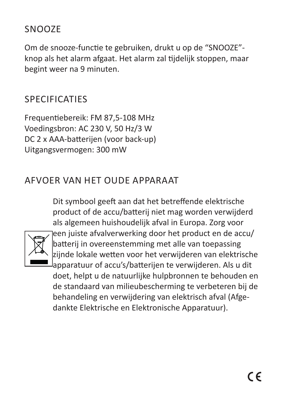## SNOOZE

Om de snooze-functie te gebruiken, drukt u op de "SNOOZE" knop als het alarm afgaat. Het alarm zal tijdelijk stoppen, maar begint weer na 9 minuten.

## **SPECIFICATIES**

Frequentiebereik: FM 87,5-108 MHz Voedingsbron: AC 230 V, 50 Hz/3 W DC 2 x AAA-batterijen (voor back-up) Uitgangsvermogen: 300 mW

## AFVOER VAN HET OUDE APPARAAT

Dit symbool geeft aan dat het betreffende elektrische product of de accu/batterij niet mag worden verwijderd als algemeen huishoudelijk afval in Europa. Zorg voor



een juiste afvalverwerking door het product en de accu/ batterij in overeenstemming met alle van toepassing zijnde lokale wetten voor het verwijderen van elektrische apparatuur of accu's/batterijen te verwijderen. Als u dit doet, helpt u de natuurlijke hulpbronnen te behouden en de standaard van milieubescherming te verbeteren bij de behandeling en verwijdering van elektrisch afval (Afgedankte Elektrische en Elektronische Apparatuur).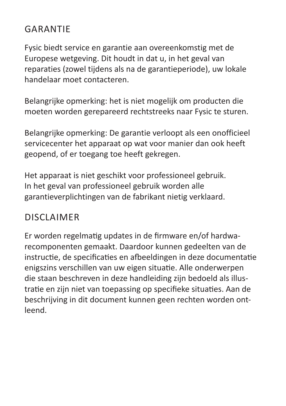## GARANTIE

Fysic biedt service en garantie aan overeenkomstig met de Europese wetgeving. Dit houdt in dat u, in het geval van reparaties (zowel tijdens als na de garantieperiode), uw lokale handelaar moet contacteren.

Belangrijke opmerking: het is niet mogelijk om producten die moeten worden gerepareerd rechtstreeks naar Fysic te sturen.

Belangrijke opmerking: De garantie verloopt als een onofficieel servicecenter het apparaat op wat voor manier dan ook heeft geopend, of er toegang toe heeft gekregen.

Het apparaat is niet geschikt voor professioneel gebruik. In het geval van professioneel gebruik worden alle garantieverplichtingen van de fabrikant nietig verklaard.

## DISCI AIMFR

Er worden regelmatig updates in de firmware en/of hardwarecomponenten gemaakt. Daardoor kunnen gedeelten van de instructie, de specificaties en afbeeldingen in deze documentatie enigszins verschillen van uw eigen situatie. Alle onderwerpen die staan beschreven in deze handleiding zijn bedoeld als illustratie en zijn niet van toepassing op specifieke situaties. Aan de beschrijving in dit document kunnen geen rechten worden ontleend.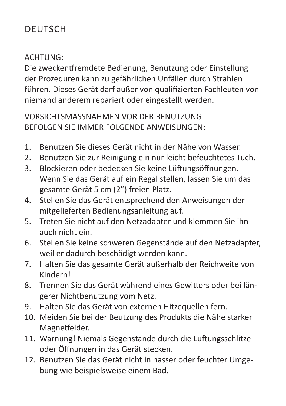## DEUTSCH

#### ACHTUNG:

Die zweckentfremdete Bedienung, Benutzung oder Einstellung der Prozeduren kann zu gefährlichen Unfällen durch Strahlen führen. Dieses Gerät darf außer von qualifizierten Fachleuten von niemand anderem repariert oder eingestellt werden.

VORSICHTSMASSNAHMEN VOR DER BENUTZUNG BEFOLGEN SIE IMMER FOLGENDE ANWEISUNGEN:

- Benutzen Sie dieses Gerät nicht in der Nähe von Wasser. 1.
- Benutzen Sie zur Reinigung ein nur leicht befeuchtetes Tuch. 2.
- Blockieren oder bedecken Sie keine Lüftungsöffnungen. Wenn Sie das Gerät auf ein Regal stellen, lassen Sie um das gesamte Gerät 5 cm (2") freien Platz. 3.
- Stellen Sie das Gerät entsprechend den Anweisungen der mitgelieferten Bedienungsanleitung auf. 4.
- Treten Sie nicht auf den Netzadapter und klemmen Sie ihn auch nicht ein. 5.
- Stellen Sie keine schweren Gegenstände auf den Netzadapter, weil er dadurch beschädigt werden kann. 6.
- Halten Sie das gesamte Gerät außerhalb der Reichweite von Kindern! 7.
- Trennen Sie das Gerät während eines Gewitters oder bei längerer Nichtbenutzung vom Netz. 8.
- 9. Halten Sie das Gerät von externen Hitzequellen fern.
- Meiden Sie bei der Beutzung des Produkts die Nähe starker 10. Magnetfelder.
- Warnung! Niemals Gegenstände durch die Lüftungsschlitze 11. oder Öffnungen in das Gerät stecken.
- 12. Benutzen Sie das Gerät nicht in nasser oder feuchter Umgebung wie beispielsweise einem Bad.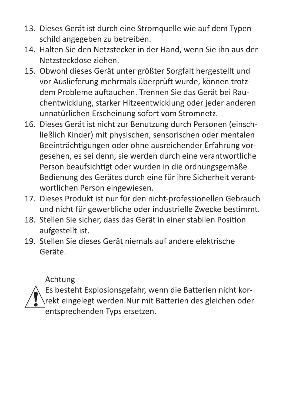- 13. Dieses Gerät ist durch eine Stromquelle wie auf dem Typenschild angegeben zu betreiben.
- 14. Halten Sie den Netzstecker in der Hand, wenn Sie ihn aus der Netzsteckdose ziehen.
- 15. Obwohl dieses Gerät unter größter Sorgfalt hergestellt und vor Auslieferung mehrmals überprüft wurde, können trotzdem Probleme auftauchen. Trennen Sie das Gerät bei Rauchentwicklung, starker Hitzeentwicklung oder jeder anderen unnatürlichen Erscheinung sofort vom Stromnetz.
- 16. Dieses Gerät ist nicht zur Benutzung durch Personen (einschließlich Kinder) mit physischen, sensorischen oder mentalen Beeinträchtigungen oder ohne ausreichender Erfahrung vorgesehen, es sei denn, sie werden durch eine verantwortliche Person beaufsichtigt oder wurden in die ordnungsgemäße Bedienung des Gerätes durch eine für ihre Sicherheit verantwortlichen Person eingewiesen.
- 17. Dieses Produkt ist nur für den nicht-professionellen Gebrauch und nicht für gewerbliche oder industrielle Zwecke bestimmt.
- 18. Stellen Sie sicher, dass das Gerät in einer stabilen Position aufgestellt ist.
- 19. Stellen Sie dieses Gerät niemals auf andere elektrische Geräte.

Achtung

Es besteht Explosionsgefahr, wenn die Batterien nicht korrekt eingelegt werden.Nur mit Batterien des gleichen oder entsprechenden Typs ersetzen.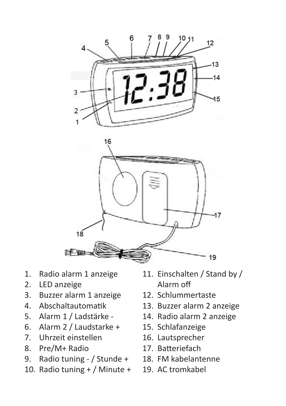



- 1. Radio alarm 1 anzeige
- 2. LED anzeige
- 3. Buzzer alarm 1 anzeige
- 4. Abschaltautomatik
- 5. Alarm 1 / Ladstärke -
- 6. Alarm 2 / Laudstarke +
- 7. Uhrzeit einstellen
- 8. Pre/M+ Radio
- 9. Radio tuning - / Stunde +
- 10. Radio tuning + / Minute +
- 11. Einschalten / Stand by / Alarm off
- 12. Schlummertaste
- 13. Buzzer alarm 2 anzeige
- 14. Radio alarm 2 anzeige
- 15. Schlafanzeige
- 16. Lautsprecher
- 17. Batteriefach
- 18. FM kabelantenne
- 19. AC tromkabel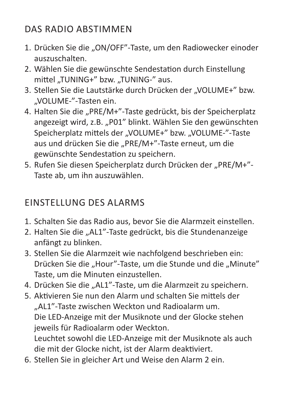## DAS RADIO ABSTIMMEN

- 1. Drücken Sie die "ON/OFF"-Taste, um den Radiowecker einoder auszuschalten.
- Wählen Sie die gewünschte Sendestation durch Einstellung 2. mittel ..TUNING+" bzw. ..TUNING-" aus.
- 3. Stellen Sie die Lautstärke durch Drücken der "VOLUME+" bzw. "VOLUME-"-Tasten ein.
- 4. Halten Sie die "PRE/M+"-Taste gedrückt, bis der Speicherplatz angezeigt wird, z.B. "P01" blinkt. Wählen Sie den gewünschten Speicherplatz mittels der "VOLUME+" bzw. "VOLUME-"-Taste aus und drücken Sie die "PRE/M+"-Taste erneut, um die gewünschte Sendestation zu speichern.
- 5. Rufen Sie diesen Speicherplatz durch Drücken der "PRE/M+"-Taste ab, um ihn auszuwählen.

## EINSTELLUNG DES ALARMS

- 1. Schalten Sie das Radio aus, bevor Sie die Alarmzeit einstellen.
- 2. Halten Sie die "AL1"-Taste gedrückt, bis die Stundenanzeige anfängt zu blinken.
- Stellen Sie die Alarmzeit wie nachfolgend beschrieben ein: 3. Drücken Sie die "Hour"-Taste, um die Stunde und die "Minute" Taste, um die Minuten einzustellen.
- 4. Drücken Sie die "AL1"-Taste, um die Alarmzeit zu speichern.
- 5. Aktivieren Sie nun den Alarm und schalten Sie mittels der "AL1"-Taste zwischen Weckton und Radioalarm um. Die LED-Anzeige mit der Musiknote und der Glocke stehen jeweils für Radioalarm oder Weckton. Leuchtet sowohl die LED-Anzeige mit der Musiknote als auch die mit der Glocke nicht, ist der Alarm deaktiviert.
- Stellen Sie in gleicher Art und Weise den Alarm 2 ein. 6.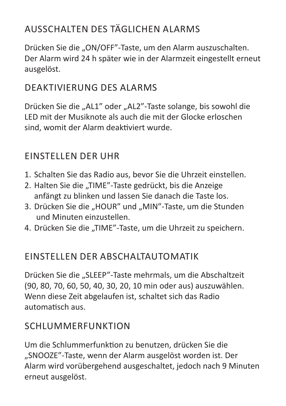## AUSSCHALTEN DES TÄGLICHEN ALARMS

Drücken Sie die "ON/OFF"-Taste, um den Alarm auszuschalten. Der Alarm wird 24 h später wie in der Alarmzeit eingestellt erneut ausgelöst.

## DEAKTIVIERUNG DES ALARMS

Drücken Sie die "AL1" oder "AL2"-Taste solange, bis sowohl die LED mit der Musiknote als auch die mit der Glocke erloschen sind, womit der Alarm deaktiviert wurde.

## EINSTELLEN DER UHR

- 1. Schalten Sie das Radio aus, bevor Sie die Uhrzeit einstellen.
- 2. Halten Sie die "TIME"-Taste gedrückt, bis die Anzeige anfängt zu blinken und lassen Sie danach die Taste los.
- 3. Drücken Sie die "HOUR" und "MIN"-Taste, um die Stunden und Minuten einzustellen.
- 4. Drücken Sie die "TIME"-Taste, um die Uhrzeit zu speichern.

## EINSTELLEN DER ABSCHALTAUTOMATIK

Drücken Sie die "SLEEP"-Taste mehrmals, um die Abschaltzeit (90, 80, 70, 60, 50, 40, 30, 20, 10 min oder aus) auszuwählen. Wenn diese Zeit abgelaufen ist, schaltet sich das Radio automatisch aus.

## **SCHLUMMERFUNKTION**

Um die Schlummerfunktion zu benutzen, drücken Sie die "SNOOZE"-Taste, wenn der Alarm ausgelöst worden ist. Der Alarm wird vorübergehend ausgeschaltet, jedoch nach 9 Minuten erneut ausgelöst.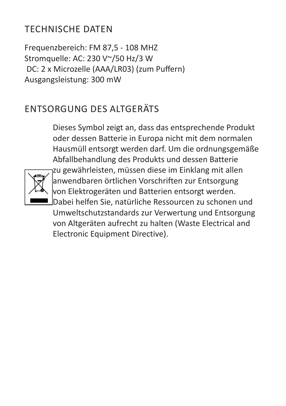## TECHNISCHE DATEN

Frequenzbereich: FM 87,5 - 108 MHZ Stromquelle: AC: 230 V~/50 Hz/3 W DC: 2 x Microzelle (AAA/LR03) (zum Puffern) Ausgangsleistung: 300 mW

## ENTSORGUNG DES ALTGERÄTS

Dieses Symbol zeigt an, dass das entsprechende Produkt oder dessen Batterie in Europa nicht mit dem normalen Hausmüll entsorgt werden darf. Um die ordnungsgemäße Abfallbehandlung des Produkts und dessen Batterie zu gewährleisten, müssen diese im Einklang mit allen anwendbaren örtlichen Vorschriften zur Entsorgung von Elektrogeräten und Batterien entsorgt werden. Dabei helfen Sie, natürliche Ressourcen zu schonen und Umweltschutzstandards zur Verwertung und Entsorgung von Altgeräten aufrecht zu halten (Waste Electrical and Electronic Equipment Directive).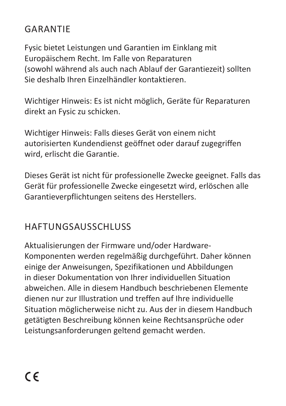## GARANTIE

Fysic bietet Leistungen und Garantien im Einklang mit Europäischem Recht. Im Falle von Reparaturen (sowohl während als auch nach Ablauf der Garantiezeit) sollten Sie deshalb Ihren Einzelhändler kontaktieren.

Wichtiger Hinweis: Es ist nicht möglich, Geräte für Reparaturen direkt an Fysic zu schicken.

Wichtiger Hinweis: Falls dieses Gerät von einem nicht autorisierten Kundendienst geöffnet oder darauf zugegriffen wird, erlischt die Garantie.

Dieses Gerät ist nicht für professionelle Zwecke geeignet. Falls das Gerät für professionelle Zwecke eingesetzt wird, erlöschen alle Garantieverpflichtungen seitens des Herstellers.

## HAFTUNGSAUSSCHLUSS

Aktualisierungen der Firmware und/oder Hardware-Komponenten werden regelmäßig durchgeführt. Daher können einige der Anweisungen, Spezifikationen und Abbildungen in dieser Dokumentation von Ihrer individuellen Situation abweichen. Alle in diesem Handbuch beschriebenen Elemente dienen nur zur Illustration und treffen auf Ihre individuelle Situation möglicherweise nicht zu. Aus der in diesem Handbuch getätigten Beschreibung können keine Rechtsansprüche oder Leistungsanforderungen geltend gemacht werden.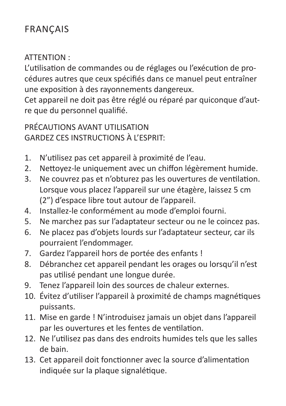## **FRANCAIS**

#### ATTENTION :

L'utilisation de commandes ou de réglages ou l'exécution de procédures autres que ceux spécifiés dans ce manuel peut entraîner une exposition à des rayonnements dangereux.

Cet appareil ne doit pas être réglé ou réparé par quiconque d'autre que du personnel qualifié.

PRÉCAUTIONS AVANT UTILISATION GARDEZ CES INSTRUCTIONS À L'ESPRIT:

- N'utilisez pas cet appareil à proximité de l'eau. 1.
- Nettoyez-le uniquement avec un chiffon légèrement humide. 2.
- Ne couvrez pas et n'obturez pas les ouvertures de ventilation. Lorsque vous placez l'appareil sur une étagère, laissez 5 cm (2") d'espace libre tout autour de l'appareil. 3.
- Installez-le conformément au mode d'emploi fourni. 4.
- Ne marchez pas sur l'adaptateur secteur ou ne le coincez pas. 5.
- Ne placez pas d'objets lourds sur l'adaptateur secteur, car ils pourraient l'endommager. 6.
- Gardez l'appareil hors de portée des enfants ! 7.
- Débranchez cet appareil pendant les orages ou lorsqu'il n'est pas utilisé pendant une longue durée. 8.
- Tenez l'appareil loin des sources de chaleur externes. 9.
- 10. Évitez d'utiliser l'appareil à proximité de champs magnétiques puissants.
- 11. Mise en garde ! N'introduisez jamais un objet dans l'appareil par les ouvertures et les fentes de ventilation.
- 12. Ne l'utilisez pas dans des endroits humides tels que les salles de bain.
- 13. Cet appareil doit fonctionner avec la source d'alimentation indiquée sur la plaque signalétique.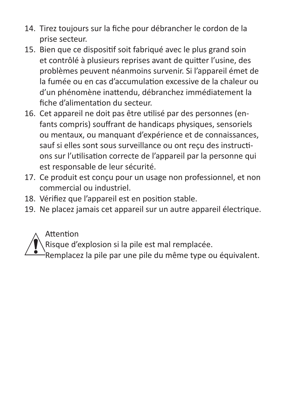- 14. Tirez toujours sur la fiche pour débrancher le cordon de la prise secteur.
- 15. Bien que ce dispositif soit fabriqué avec le plus grand soin et contrôlé à plusieurs reprises avant de quitter l'usine, des problèmes peuvent néanmoins survenir. Si l'appareil émet de la fumée ou en cas d'accumulation excessive de la chaleur ou d'un phénomène inattendu, débranchez immédiatement la fiche d'alimentation du secteur.
- 16. Cet appareil ne doit pas être utilisé par des personnes (enfants compris) souffrant de handicaps physiques, sensoriels ou mentaux, ou manquant d'expérience et de connaissances, sauf si elles sont sous surveillance ou ont reçu des instructions sur l'utilisation correcte de l'appareil par la personne qui est responsable de leur sécurité.
- 17. Ce produit est conçu pour un usage non professionnel, et non commercial ou industriel.
- 18. Vérifiez que l'appareil est en position stable.
- 19. Ne placez jamais cet appareil sur un autre appareil électrique.

Attention

Risque d'explosion si la pile est mal remplacée.

Remplacez la pile par une pile du même type ou équivalent.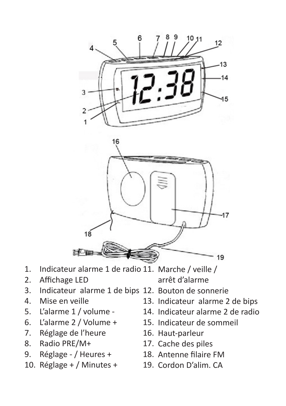

- 1. Indicateur alarme 1 de radio 11. Marche / veille / arrêt d'alarme
- 2. Affichage LED
- 3. Indicateur alarme 1 de bips 12. Bouton de sonnerie
- 4. Mise en veille
- 5. L'alarme 1 / volume -
- 6. L'alarme 2 / Volume +
- 7. Réglage de l'heure
- 8. Radio PRE/M+
- 9. Réglage - / Heures +
- 10. Réglage + / Minutes +
- - 13. Indicateur alarme 2 de bips
	- 14. Indicateur alarme 2 de radio
	- 15. Indicateur de sommeil
	- 16. Haut-parleur
	- 17. Cache des piles
	- 18. Antenne filaire FM
	- 19. Cordon D'alim. CA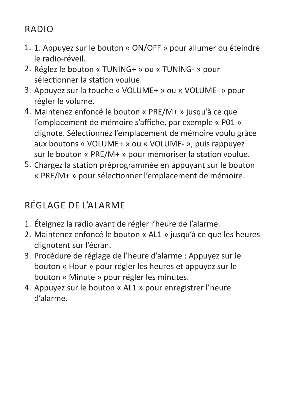## RADIO

- 1. Appuyez sur le bouton « ON/OFF » pour allumer ou éteindre 1. le radio-réveil.
- 2. Réglez le bouton « TUNING+ » ou « TUNING- » pour sélectionner la station voulue.
- 3. Appuyez sur la touche « VOLUME+ » ou « VOLUME- » pour régler le volume.
- Maintenez enfoncé le bouton « PRE/M+ » jusqu'à ce que 4. l'emplacement de mémoire s'affiche, par exemple « P01 » clignote. Sélectionnez l'emplacement de mémoire voulu grâce aux boutons « VOLUME+ » ou « VOLUME- », puis rappuyez sur le bouton « PRE/M+ » pour mémoriser la station voulue.
- 5. Chargez la station préprogrammée en appuyant sur le bouton « PRE/M+ » pour sélectionner l'emplacement de mémoire.

## RÉGLAGE DE L'ALARME

- 1. Éteignez la radio avant de régler l'heure de l'alarme.
- Maintenez enfoncé le bouton « AL1 » jusqu'à ce que les heures 2. clignotent sur l'écran.
- 3. Procédure de réglage de l'heure d'alarme : Appuyez sur le bouton « Hour » pour régler les heures et appuyez sur le bouton « Minute » pour régler les minutes.
- 4. Appuyez sur le bouton « AL1 » pour enregistrer l'heure d'alarme.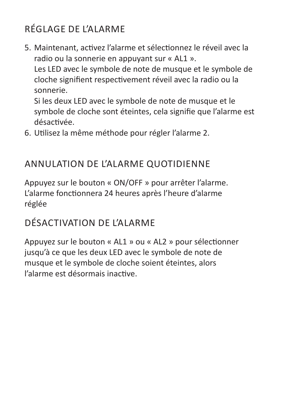## RÉGLAGE DE L'ALARME

Maintenant, activez l'alarme et sélectionnez le réveil avec la 5. radio ou la sonnerie en appuyant sur « AL1 ». Les LED avec le symbole de note de musque et le symbole de cloche signifient respectivement réveil avec la radio ou la sonnerie.

Si les deux LED avec le symbole de note de musque et le symbole de cloche sont éteintes, cela signifie que l'alarme est désactivée.

Utilisez la même méthode pour régler l'alarme 2. 6.

## ANNULATION DE L'ALARME QUOTIDIENNE

Appuyez sur le bouton « ON/OFF » pour arrêter l'alarme. L'alarme fonctionnera 24 heures après l'heure d'alarme réglée

## DÉSACTIVATION DE L'ALARME

Appuyez sur le bouton « AL1 » ou « AL2 » pour sélectionner jusqu'à ce que les deux LED avec le symbole de note de musque et le symbole de cloche soient éteintes, alors l'alarme est désormais inactive.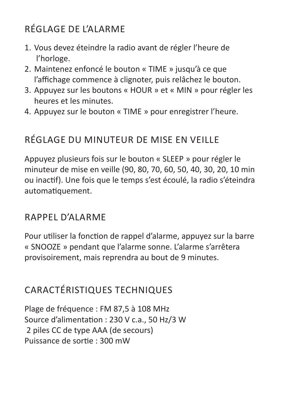## RÉGLAGE DE L'ALARME

- 1. Vous devez éteindre la radio avant de régler l'heure de l'horloge.
- Maintenez enfoncé le bouton « TIME » jusqu'à ce que 2. l'affichage commence à clignoter, puis relâchez le bouton.
- 3. Appuyez sur les boutons « HOUR » et « MIN » pour régler les heures et les minutes.
- 4. Appuyez sur le bouton « TIME » pour enregistrer l'heure.

## RÉGLAGE DU MINUTEUR DE MISE EN VEILLE

Appuyez plusieurs fois sur le bouton « SLEEP » pour régler le minuteur de mise en veille (90, 80, 70, 60, 50, 40, 30, 20, 10 min ou inactif). Une fois que le temps s'est écoulé, la radio s'éteindra automatiquement.

## RAPPEL D'ALARME

Pour utiliser la fonction de rappel d'alarme, appuyez sur la barre « SNOOZE » pendant que l'alarme sonne. L'alarme s'arrêtera provisoirement, mais reprendra au bout de 9 minutes.

## CARACTÉRISTIQUES TECHNIQUES

Plage de fréquence : FM 87,5 à 108 MHz Source d'alimentation : 230 V c.a., 50 Hz/3 W 2 piles CC de type AAA (de secours) Puissance de sortie : 300 mW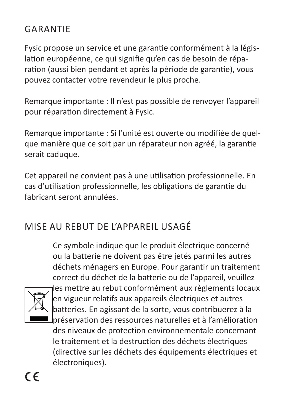## GARANTIE

Fysic propose un service et une garantie conformément à la législation européenne, ce qui signifie qu'en cas de besoin de réparation (aussi bien pendant et après la période de garantie), vous pouvez contacter votre revendeur le plus proche.

Remarque importante : Il n'est pas possible de renvoyer l'appareil pour réparation directement à Fysic.

Remarque importante : Si l'unité est ouverte ou modifiée de quelque manière que ce soit par un réparateur non agréé, la garantie serait caduque.

Cet appareil ne convient pas à une utilisation professionnelle. En cas d'utilisation professionnelle, les obligations de garantie du fabricant seront annulées.

## MISE AU REBUT DE L'APPAREIL USAGÉ

Ce symbole indique que le produit électrique concerné ou la batterie ne doivent pas être jetés parmi les autres déchets ménagers en Europe. Pour garantir un traitement correct du déchet de la batterie ou de l'appareil, veuillez les mettre au rebut conformément aux règlements locaux en vigueur relatifs aux appareils électriques et autres batteries. En agissant de la sorte, vous contribuerez à la préservation des ressources naturelles et à l'amélioration des niveaux de protection environnementale concernant le traitement et la destruction des déchets électriques (directive sur les déchets des équipements électriques et électroniques).